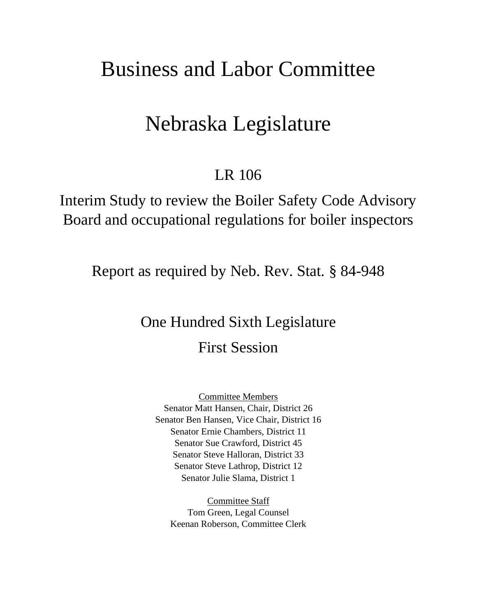# Business and Labor Committee

# Nebraska Legislature

# LR 106

Interim Study to review the Boiler Safety Code Advisory Board and occupational regulations for boiler inspectors

Report as required by Neb. Rev. Stat. § 84-948

# One Hundred Sixth Legislature First Session

Committee Members Senator Matt Hansen, Chair, District 26 Senator Ben Hansen, Vice Chair, District 16 Senator Ernie Chambers, District 11 Senator Sue Crawford, District 45 Senator Steve Halloran, District 33 Senator Steve Lathrop, District 12 Senator Julie Slama, District 1

Committee Staff Tom Green, Legal Counsel Keenan Roberson, Committee Clerk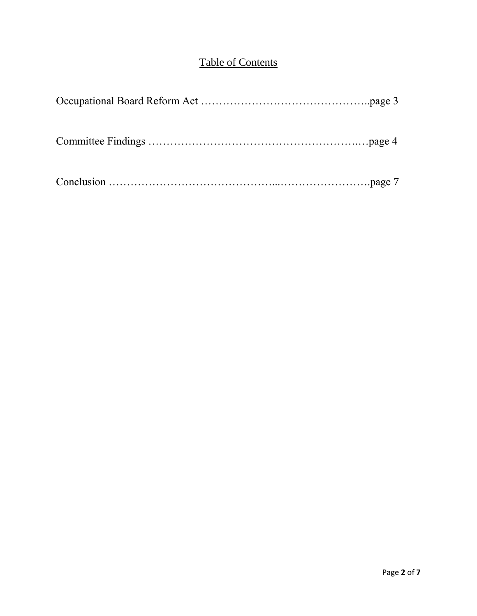## Table of Contents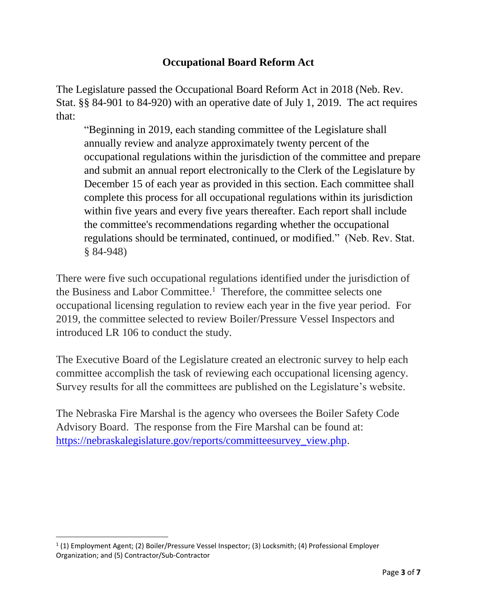## **Occupational Board Reform Act**

The Legislature passed the Occupational Board Reform Act in 2018 (Neb. Rev. Stat. §§ 84-901 to 84-920) with an operative date of July 1, 2019. The act requires that:

"Beginning in 2019, each standing committee of the Legislature shall annually review and analyze approximately twenty percent of the occupational regulations within the jurisdiction of the committee and prepare and submit an annual report electronically to the Clerk of the Legislature by December 15 of each year as provided in this section. Each committee shall complete this process for all occupational regulations within its jurisdiction within five years and every five years thereafter. Each report shall include the committee's recommendations regarding whether the occupational regulations should be terminated, continued, or modified." (Neb. Rev. Stat. § 84-948)

There were five such occupational regulations identified under the jurisdiction of the Business and Labor Committee.<sup>1</sup> Therefore, the committee selects one occupational licensing regulation to review each year in the five year period. For 2019, the committee selected to review Boiler/Pressure Vessel Inspectors and introduced LR 106 to conduct the study.

The Executive Board of the Legislature created an electronic survey to help each committee accomplish the task of reviewing each occupational licensing agency. Survey results for all the committees are published on the Legislature's website.

The Nebraska Fire Marshal is the agency who oversees the Boiler Safety Code Advisory Board. The response from the Fire Marshal can be found at: [https://nebraskalegislature.gov/reports/committeesurvey\\_view.php.](https://nebraskalegislature.gov/reports/committeesurvey_view.php)

l

<sup>&</sup>lt;sup>1</sup> (1) Employment Agent; (2) Boiler/Pressure Vessel Inspector; (3) Locksmith; (4) Professional Employer Organization; and (5) Contractor/Sub-Contractor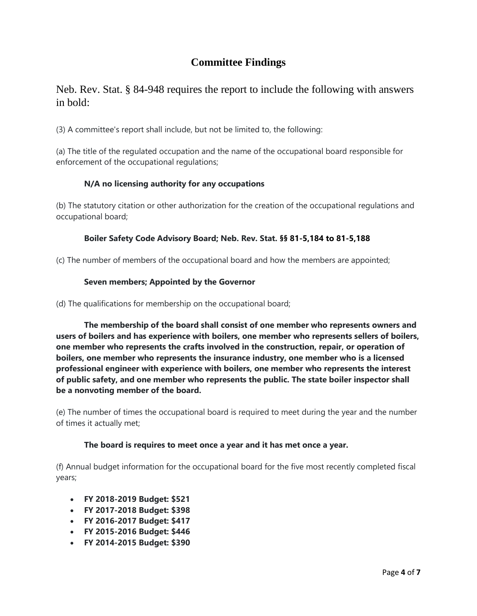### **Committee Findings**

### Neb. Rev. Stat. § 84-948 requires the report to include the following with answers in bold:

(3) A committee's report shall include, but not be limited to, the following:

(a) The title of the regulated occupation and the name of the occupational board responsible for enforcement of the occupational regulations;

#### **N/A no licensing authority for any occupations**

(b) The statutory citation or other authorization for the creation of the occupational regulations and occupational board;

#### **Boiler Safety Code Advisory Board; Neb. Rev. Stat. §§ 81-5,184 to 81-5,188**

(c) The number of members of the occupational board and how the members are appointed;

#### **Seven members; Appointed by the Governor**

(d) The qualifications for membership on the occupational board;

**The membership of the board shall consist of one member who represents owners and users of boilers and has experience with boilers, one member who represents sellers of boilers, one member who represents the crafts involved in the construction, repair, or operation of boilers, one member who represents the insurance industry, one member who is a licensed professional engineer with experience with boilers, one member who represents the interest of public safety, and one member who represents the public. The state boiler inspector shall be a nonvoting member of the board.**

(e) The number of times the occupational board is required to meet during the year and the number of times it actually met;

#### **The board is requires to meet once a year and it has met once a year.**

(f) Annual budget information for the occupational board for the five most recently completed fiscal years;

- **FY 2018-2019 Budget: \$521**
- **FY 2017-2018 Budget: \$398**
- **FY 2016-2017 Budget: \$417**
- **FY 2015-2016 Budget: \$446**
- **FY 2014-2015 Budget: \$390**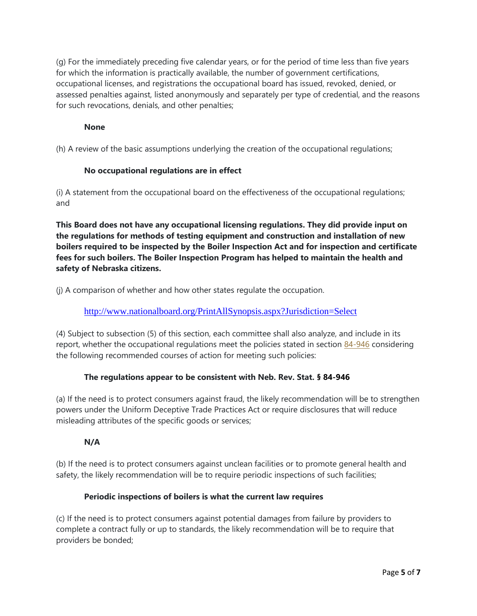(g) For the immediately preceding five calendar years, or for the period of time less than five years for which the information is practically available, the number of government certifications, occupational licenses, and registrations the occupational board has issued, revoked, denied, or assessed penalties against, listed anonymously and separately per type of credential, and the reasons for such revocations, denials, and other penalties;

#### **None**

(h) A review of the basic assumptions underlying the creation of the occupational regulations;

#### **No occupational regulations are in effect**

(i) A statement from the occupational board on the effectiveness of the occupational regulations; and

**This Board does not have any occupational licensing regulations. They did provide input on the regulations for methods of testing equipment and construction and installation of new boilers required to be inspected by the Boiler Inspection Act and for inspection and certificate fees for such boilers. The Boiler Inspection Program has helped to maintain the health and safety of Nebraska citizens.** 

(j) A comparison of whether and how other states regulate the occupation.

<http://www.nationalboard.org/PrintAllSynopsis.aspx?Jurisdiction=Select>

(4) Subject to subsection (5) of this section, each committee shall also analyze, and include in its report, whether the occupational regulations meet the policies stated in section [84-946](https://nebraskalegislature.gov/laws/statutes.php?statute=84-946) considering the following recommended courses of action for meeting such policies:

#### **The regulations appear to be consistent with Neb. Rev. Stat. § 84-946**

(a) If the need is to protect consumers against fraud, the likely recommendation will be to strengthen powers under the Uniform Deceptive Trade Practices Act or require disclosures that will reduce misleading attributes of the specific goods or services;

#### **N/A**

(b) If the need is to protect consumers against unclean facilities or to promote general health and safety, the likely recommendation will be to require periodic inspections of such facilities;

#### **Periodic inspections of boilers is what the current law requires**

(c) If the need is to protect consumers against potential damages from failure by providers to complete a contract fully or up to standards, the likely recommendation will be to require that providers be bonded;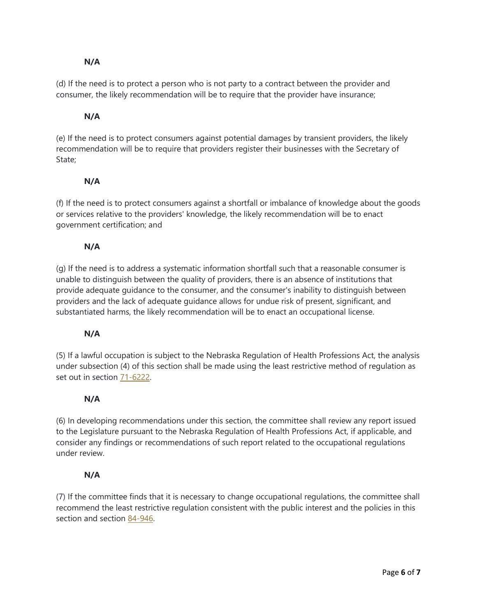#### **N/A**

(d) If the need is to protect a person who is not party to a contract between the provider and consumer, the likely recommendation will be to require that the provider have insurance;

#### **N/A**

(e) If the need is to protect consumers against potential damages by transient providers, the likely recommendation will be to require that providers register their businesses with the Secretary of State;

#### **N/A**

(f) If the need is to protect consumers against a shortfall or imbalance of knowledge about the goods or services relative to the providers' knowledge, the likely recommendation will be to enact government certification; and

#### **N/A**

(g) If the need is to address a systematic information shortfall such that a reasonable consumer is unable to distinguish between the quality of providers, there is an absence of institutions that provide adequate guidance to the consumer, and the consumer's inability to distinguish between providers and the lack of adequate guidance allows for undue risk of present, significant, and substantiated harms, the likely recommendation will be to enact an occupational license.

#### **N/A**

(5) If a lawful occupation is subject to the Nebraska Regulation of Health Professions Act, the analysis under subsection (4) of this section shall be made using the least restrictive method of regulation as set out in section [71-6222.](https://nebraskalegislature.gov/laws/statutes.php?statute=71-6222)

#### **N/A**

(6) In developing recommendations under this section, the committee shall review any report issued to the Legislature pursuant to the Nebraska Regulation of Health Professions Act, if applicable, and consider any findings or recommendations of such report related to the occupational regulations under review.

#### **N/A**

(7) If the committee finds that it is necessary to change occupational regulations, the committee shall recommend the least restrictive regulation consistent with the public interest and the policies in this section and section [84-946.](https://nebraskalegislature.gov/laws/statutes.php?statute=84-946)